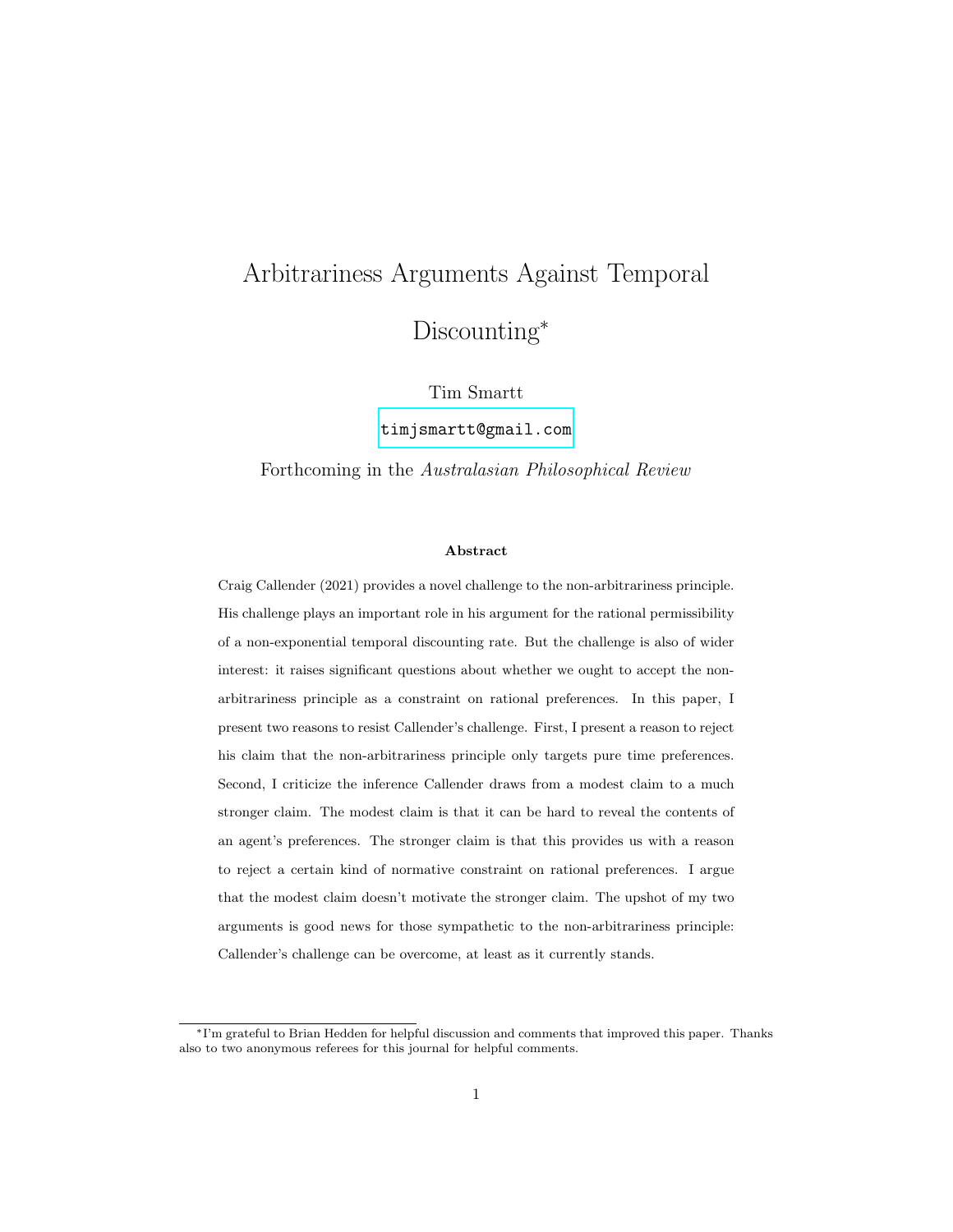# Arbitrariness Arguments Against Temporal Discounting<sup>\*</sup>

Tim Smartt

[timjsmartt@gmail.com](mailto:timjsmartt@gmail.com)

Forthcoming in the Australasian Philosophical Review

#### Abstract

Craig Callender (2021) provides a novel challenge to the non-arbitrariness principle. His challenge plays an important role in his argument for the rational permissibility of a non-exponential temporal discounting rate. But the challenge is also of wider interest: it raises significant questions about whether we ought to accept the nonarbitrariness principle as a constraint on rational preferences. In this paper, I present two reasons to resist Callender's challenge. First, I present a reason to reject his claim that the non-arbitrariness principle only targets pure time preferences. Second, I criticize the inference Callender draws from a modest claim to a much stronger claim. The modest claim is that it can be hard to reveal the contents of an agent's preferences. The stronger claim is that this provides us with a reason to reject a certain kind of normative constraint on rational preferences. I argue that the modest claim doesn't motivate the stronger claim. The upshot of my two arguments is good news for those sympathetic to the non-arbitrariness principle: Callender's challenge can be overcome, at least as it currently stands.

<sup>∗</sup>I'm grateful to Brian Hedden for helpful discussion and comments that improved this paper. Thanks also to two anonymous referees for this journal for helpful comments.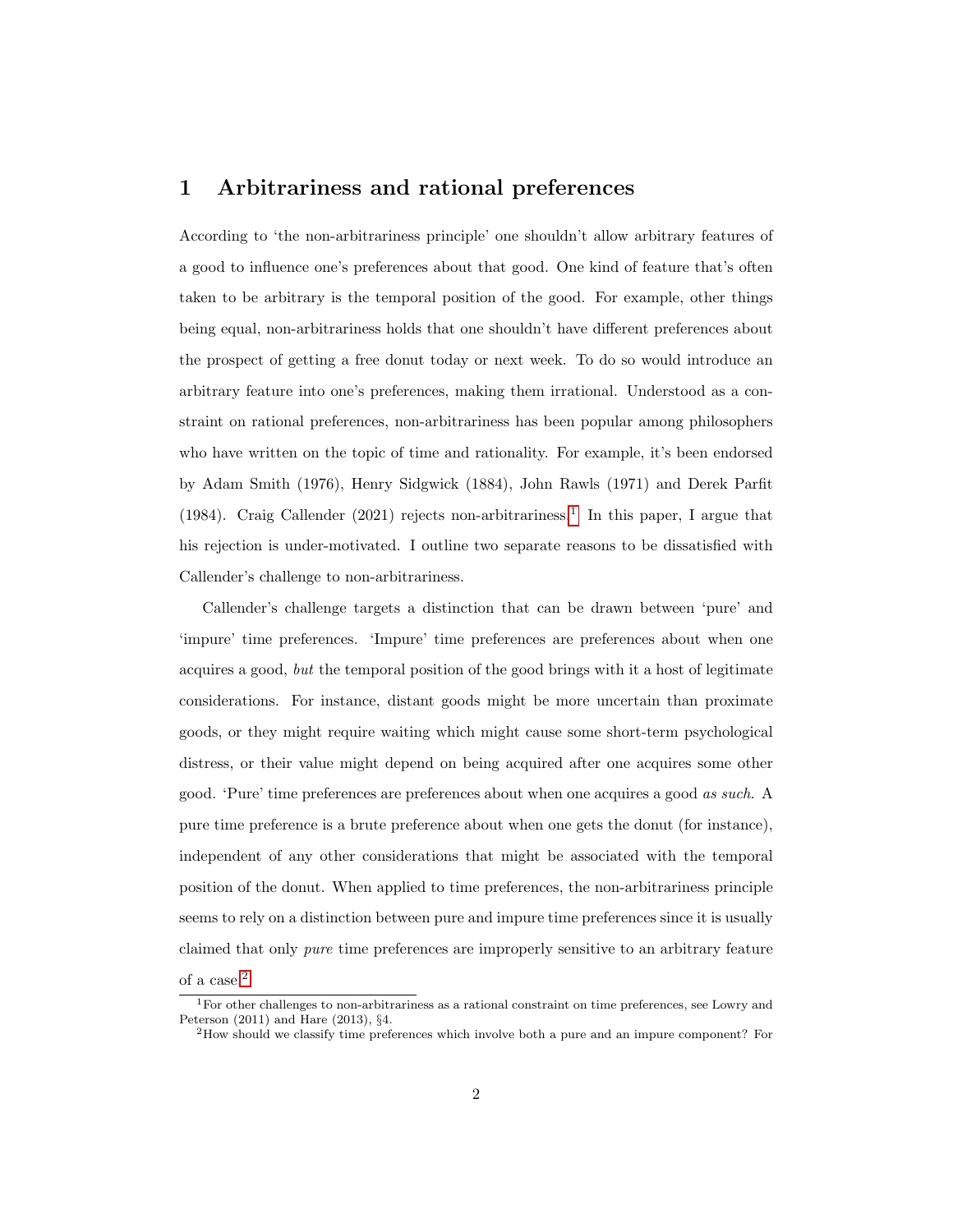#### 1 Arbitrariness and rational preferences

According to 'the non-arbitrariness principle' one shouldn't allow arbitrary features of a good to influence one's preferences about that good. One kind of feature that's often taken to be arbitrary is the temporal position of the good. For example, other things being equal, non-arbitrariness holds that one shouldn't have different preferences about the prospect of getting a free donut today or next week. To do so would introduce an arbitrary feature into one's preferences, making them irrational. Understood as a constraint on rational preferences, non-arbitrariness has been popular among philosophers who have written on the topic of time and rationality. For example, it's been endorsed by Adam Smith (1976), Henry Sidgwick (1884), John Rawls (1971) and Derek Parfit ([1](#page-1-0)984). Craig Callender (2021) rejects non-arbitrariness.<sup>1</sup> In this paper, I argue that his rejection is under-motivated. I outline two separate reasons to be dissatisfied with Callender's challenge to non-arbitrariness.

Callender's challenge targets a distinction that can be drawn between 'pure' and 'impure' time preferences. 'Impure' time preferences are preferences about when one acquires a good, but the temporal position of the good brings with it a host of legitimate considerations. For instance, distant goods might be more uncertain than proximate goods, or they might require waiting which might cause some short-term psychological distress, or their value might depend on being acquired after one acquires some other good. 'Pure' time preferences are preferences about when one acquires a good as such. A pure time preference is a brute preference about when one gets the donut (for instance), independent of any other considerations that might be associated with the temporal position of the donut. When applied to time preferences, the non-arbitrariness principle seems to rely on a distinction between pure and impure time preferences since it is usually claimed that only pure time preferences are improperly sensitive to an arbitrary feature

of a case.[2](#page-1-1)

<span id="page-1-0"></span><sup>1</sup>For other challenges to non-arbitrariness as a rational constraint on time preferences, see Lowry and Peterson (2011) and Hare (2013), §4.

<span id="page-1-1"></span><sup>2</sup>How should we classify time preferences which involve both a pure and an impure component? For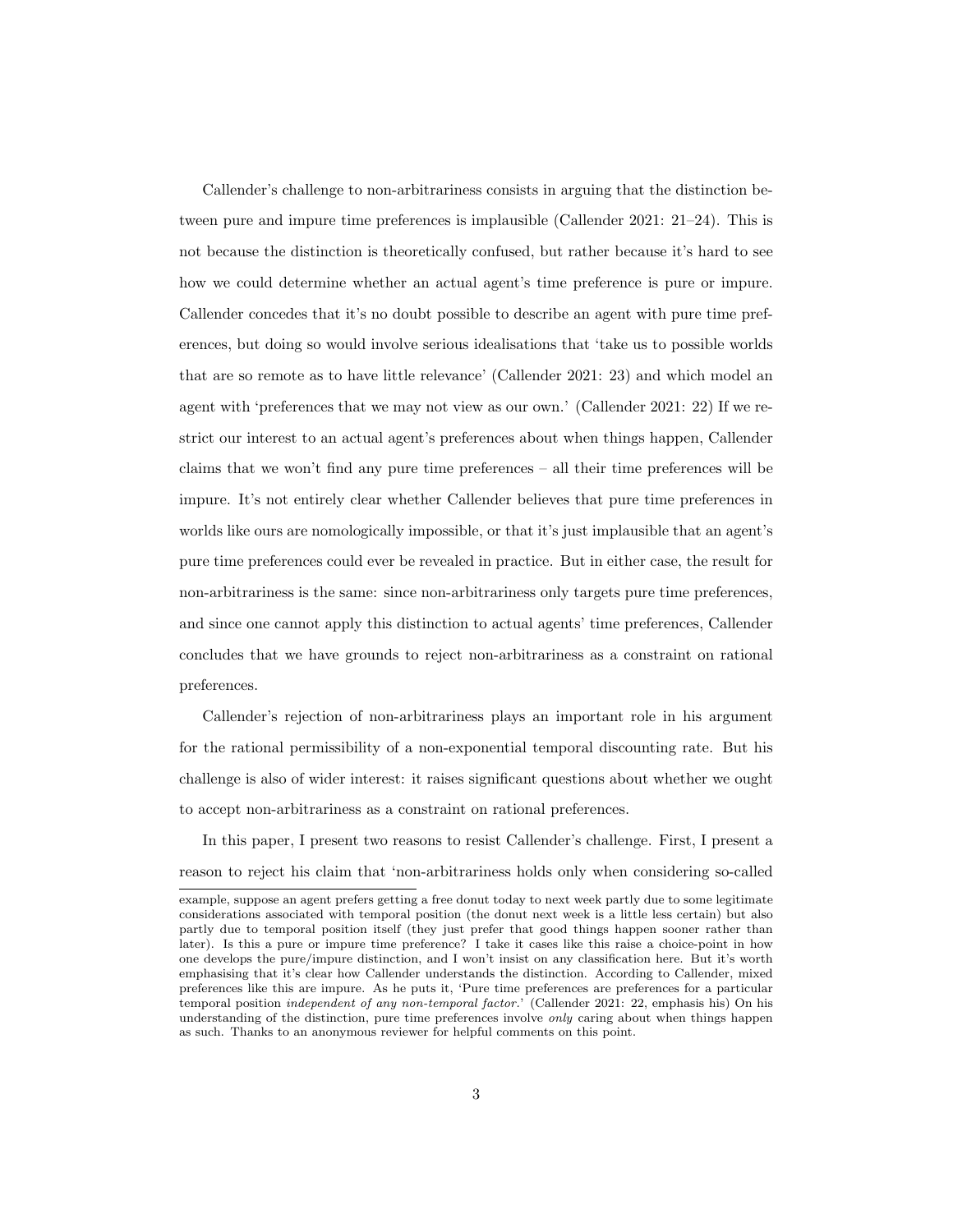Callender's challenge to non-arbitrariness consists in arguing that the distinction between pure and impure time preferences is implausible (Callender 2021: 21–24). This is not because the distinction is theoretically confused, but rather because it's hard to see how we could determine whether an actual agent's time preference is pure or impure. Callender concedes that it's no doubt possible to describe an agent with pure time preferences, but doing so would involve serious idealisations that 'take us to possible worlds that are so remote as to have little relevance' (Callender 2021: 23) and which model an agent with 'preferences that we may not view as our own.' (Callender 2021: 22) If we restrict our interest to an actual agent's preferences about when things happen, Callender claims that we won't find any pure time preferences – all their time preferences will be impure. It's not entirely clear whether Callender believes that pure time preferences in worlds like ours are nomologically impossible, or that it's just implausible that an agent's pure time preferences could ever be revealed in practice. But in either case, the result for non-arbitrariness is the same: since non-arbitrariness only targets pure time preferences, and since one cannot apply this distinction to actual agents' time preferences, Callender concludes that we have grounds to reject non-arbitrariness as a constraint on rational preferences.

Callender's rejection of non-arbitrariness plays an important role in his argument for the rational permissibility of a non-exponential temporal discounting rate. But his challenge is also of wider interest: it raises significant questions about whether we ought to accept non-arbitrariness as a constraint on rational preferences.

In this paper, I present two reasons to resist Callender's challenge. First, I present a reason to reject his claim that 'non-arbitrariness holds only when considering so-called

example, suppose an agent prefers getting a free donut today to next week partly due to some legitimate considerations associated with temporal position (the donut next week is a little less certain) but also partly due to temporal position itself (they just prefer that good things happen sooner rather than later). Is this a pure or impure time preference? I take it cases like this raise a choice-point in how one develops the pure/impure distinction, and I won't insist on any classification here. But it's worth emphasising that it's clear how Callender understands the distinction. According to Callender, mixed preferences like this are impure. As he puts it, 'Pure time preferences are preferences for a particular temporal position independent of any non-temporal factor.' (Callender 2021: 22, emphasis his) On his understanding of the distinction, pure time preferences involve only caring about when things happen as such. Thanks to an anonymous reviewer for helpful comments on this point.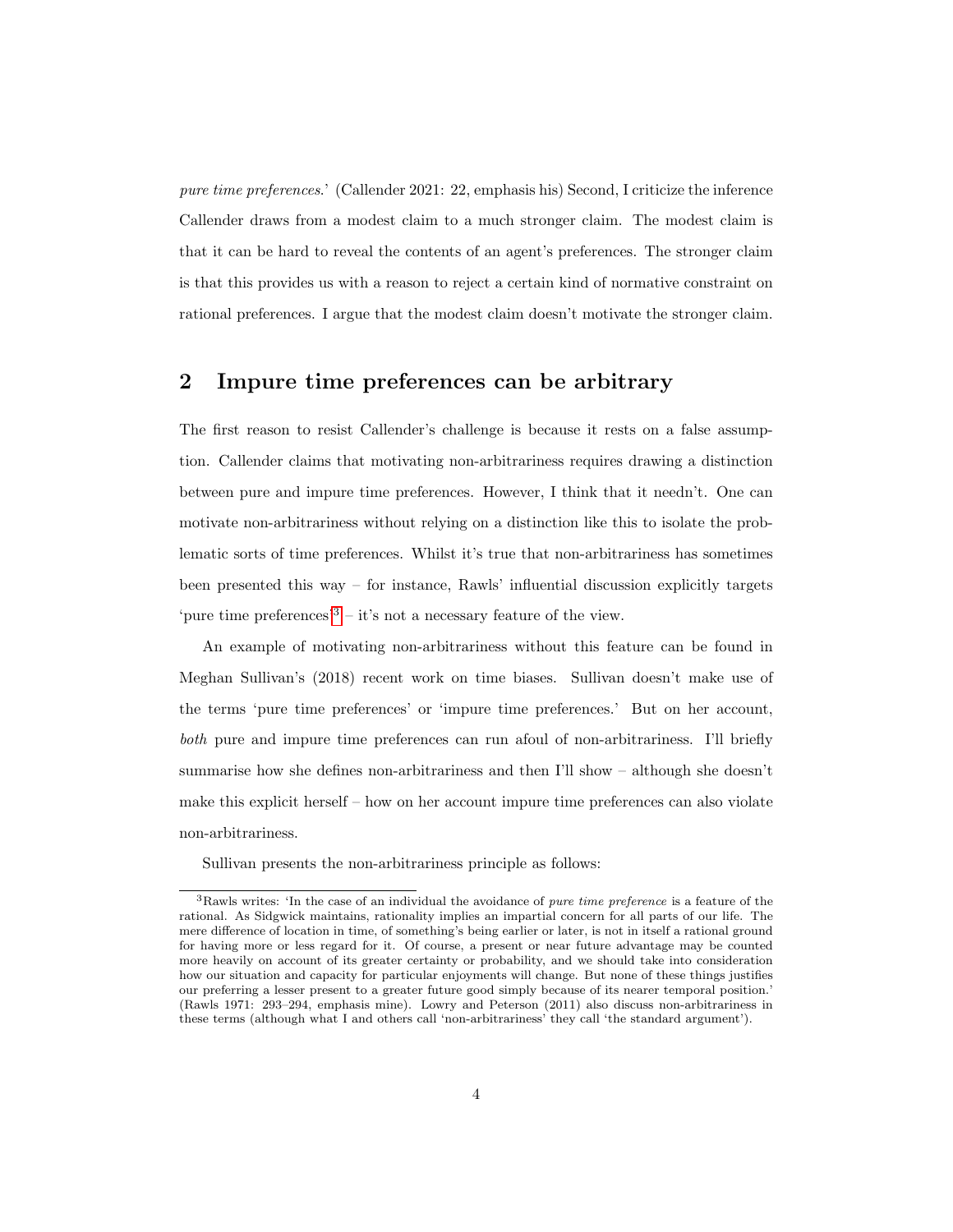pure time preferences.' (Callender 2021: 22, emphasis his) Second, I criticize the inference Callender draws from a modest claim to a much stronger claim. The modest claim is that it can be hard to reveal the contents of an agent's preferences. The stronger claim is that this provides us with a reason to reject a certain kind of normative constraint on rational preferences. I argue that the modest claim doesn't motivate the stronger claim.

### 2 Impure time preferences can be arbitrary

The first reason to resist Callender's challenge is because it rests on a false assumption. Callender claims that motivating non-arbitrariness requires drawing a distinction between pure and impure time preferences. However, I think that it needn't. One can motivate non-arbitrariness without relying on a distinction like this to isolate the problematic sorts of time preferences. Whilst it's true that non-arbitrariness has sometimes been presented this way – for instance, Rawls' influential discussion explicitly targets 'pure time preferences'<sup>[3](#page-3-0)</sup> – it's not a necessary feature of the view.

An example of motivating non-arbitrariness without this feature can be found in Meghan Sullivan's (2018) recent work on time biases. Sullivan doesn't make use of the terms 'pure time preferences' or 'impure time preferences.' But on her account, both pure and impure time preferences can run afoul of non-arbitrariness. I'll briefly summarise how she defines non-arbitrariness and then I'll show – although she doesn't make this explicit herself – how on her account impure time preferences can also violate non-arbitrariness.

Sullivan presents the non-arbitrariness principle as follows:

<span id="page-3-0"></span><sup>&</sup>lt;sup>3</sup>Rawls writes: 'In the case of an individual the avoidance of *pure time preference* is a feature of the rational. As Sidgwick maintains, rationality implies an impartial concern for all parts of our life. The mere difference of location in time, of something's being earlier or later, is not in itself a rational ground for having more or less regard for it. Of course, a present or near future advantage may be counted more heavily on account of its greater certainty or probability, and we should take into consideration how our situation and capacity for particular enjoyments will change. But none of these things justifies our preferring a lesser present to a greater future good simply because of its nearer temporal position.' (Rawls 1971: 293–294, emphasis mine). Lowry and Peterson (2011) also discuss non-arbitrariness in these terms (although what I and others call 'non-arbitrariness' they call 'the standard argument').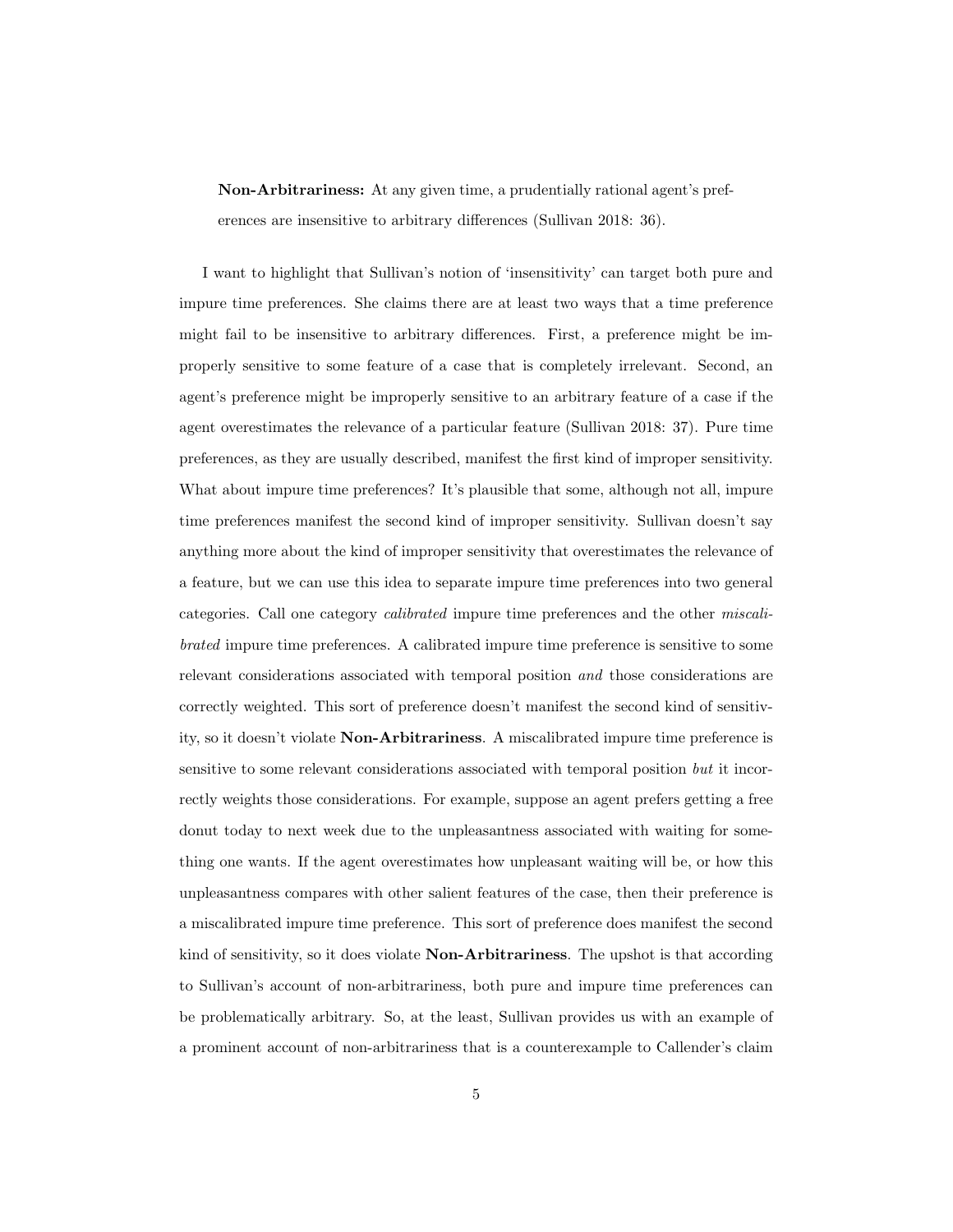Non-Arbitrariness: At any given time, a prudentially rational agent's preferences are insensitive to arbitrary differences (Sullivan 2018: 36).

I want to highlight that Sullivan's notion of 'insensitivity' can target both pure and impure time preferences. She claims there are at least two ways that a time preference might fail to be insensitive to arbitrary differences. First, a preference might be improperly sensitive to some feature of a case that is completely irrelevant. Second, an agent's preference might be improperly sensitive to an arbitrary feature of a case if the agent overestimates the relevance of a particular feature (Sullivan 2018: 37). Pure time preferences, as they are usually described, manifest the first kind of improper sensitivity. What about impure time preferences? It's plausible that some, although not all, impure time preferences manifest the second kind of improper sensitivity. Sullivan doesn't say anything more about the kind of improper sensitivity that overestimates the relevance of a feature, but we can use this idea to separate impure time preferences into two general categories. Call one category calibrated impure time preferences and the other miscalibrated impure time preferences. A calibrated impure time preference is sensitive to some relevant considerations associated with temporal position and those considerations are correctly weighted. This sort of preference doesn't manifest the second kind of sensitivity, so it doesn't violate Non-Arbitrariness. A miscalibrated impure time preference is sensitive to some relevant considerations associated with temporal position but it incorrectly weights those considerations. For example, suppose an agent prefers getting a free donut today to next week due to the unpleasantness associated with waiting for something one wants. If the agent overestimates how unpleasant waiting will be, or how this unpleasantness compares with other salient features of the case, then their preference is a miscalibrated impure time preference. This sort of preference does manifest the second kind of sensitivity, so it does violate Non-Arbitrariness. The upshot is that according to Sullivan's account of non-arbitrariness, both pure and impure time preferences can be problematically arbitrary. So, at the least, Sullivan provides us with an example of a prominent account of non-arbitrariness that is a counterexample to Callender's claim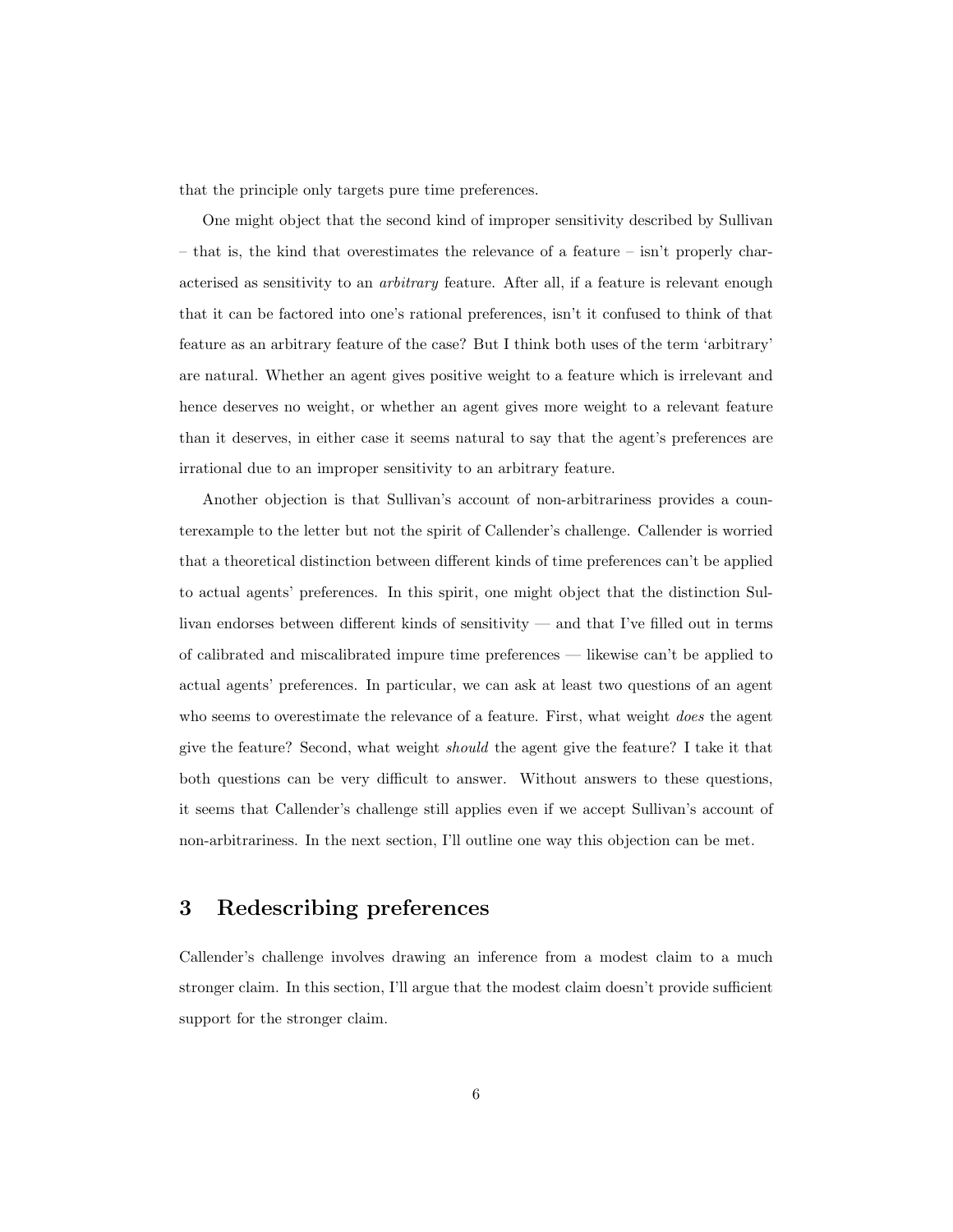that the principle only targets pure time preferences.

One might object that the second kind of improper sensitivity described by Sullivan – that is, the kind that overestimates the relevance of a feature – isn't properly characterised as sensitivity to an arbitrary feature. After all, if a feature is relevant enough that it can be factored into one's rational preferences, isn't it confused to think of that feature as an arbitrary feature of the case? But I think both uses of the term 'arbitrary' are natural. Whether an agent gives positive weight to a feature which is irrelevant and hence deserves no weight, or whether an agent gives more weight to a relevant feature than it deserves, in either case it seems natural to say that the agent's preferences are irrational due to an improper sensitivity to an arbitrary feature.

Another objection is that Sullivan's account of non-arbitrariness provides a counterexample to the letter but not the spirit of Callender's challenge. Callender is worried that a theoretical distinction between different kinds of time preferences can't be applied to actual agents' preferences. In this spirit, one might object that the distinction Sullivan endorses between different kinds of sensitivity — and that I've filled out in terms of calibrated and miscalibrated impure time preferences — likewise can't be applied to actual agents' preferences. In particular, we can ask at least two questions of an agent who seems to overestimate the relevance of a feature. First, what weight *does* the agent give the feature? Second, what weight should the agent give the feature? I take it that both questions can be very difficult to answer. Without answers to these questions, it seems that Callender's challenge still applies even if we accept Sullivan's account of non-arbitrariness. In the next section, I'll outline one way this objection can be met.

# 3 Redescribing preferences

Callender's challenge involves drawing an inference from a modest claim to a much stronger claim. In this section, I'll argue that the modest claim doesn't provide sufficient support for the stronger claim.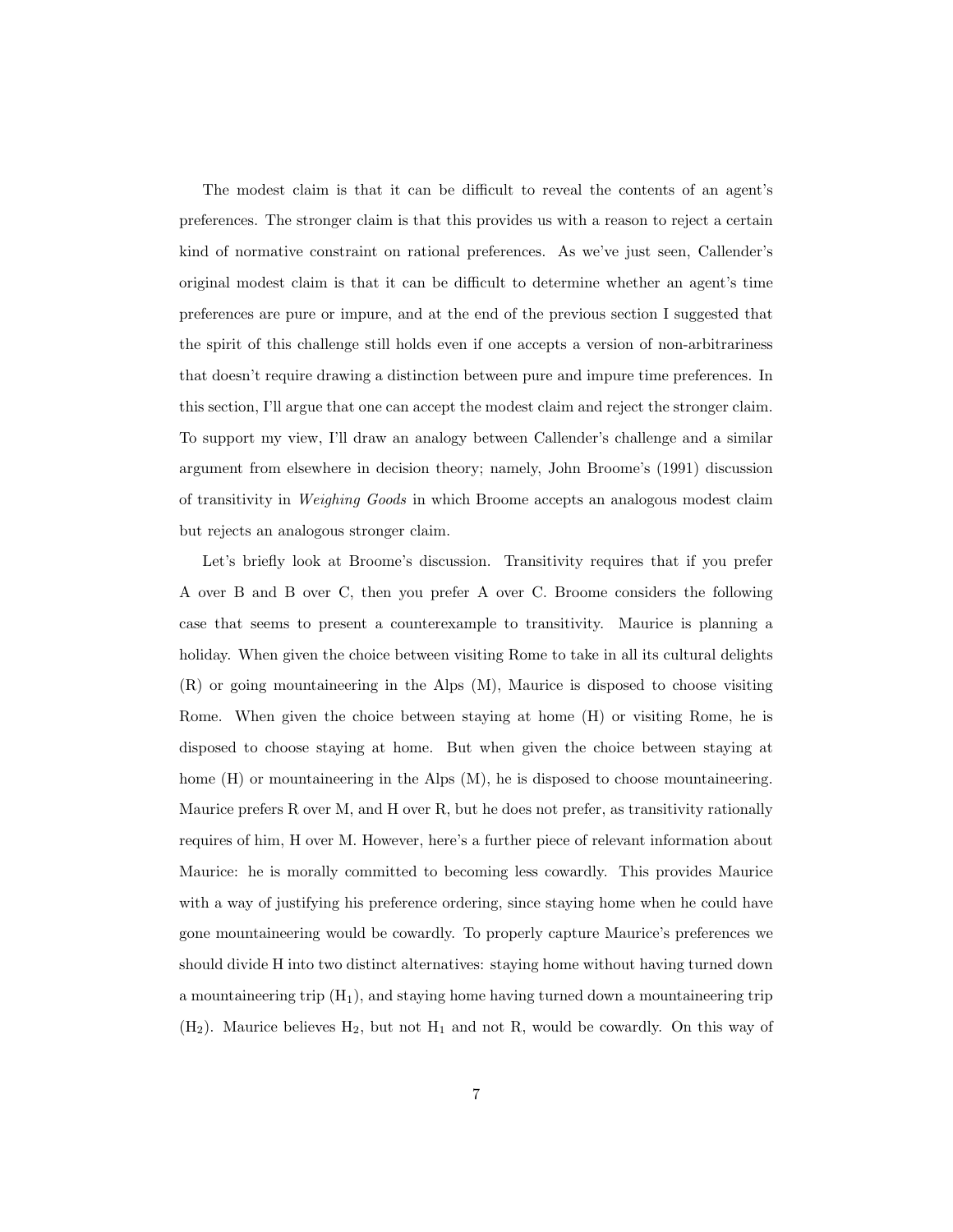The modest claim is that it can be difficult to reveal the contents of an agent's preferences. The stronger claim is that this provides us with a reason to reject a certain kind of normative constraint on rational preferences. As we've just seen, Callender's original modest claim is that it can be difficult to determine whether an agent's time preferences are pure or impure, and at the end of the previous section I suggested that the spirit of this challenge still holds even if one accepts a version of non-arbitrariness that doesn't require drawing a distinction between pure and impure time preferences. In this section, I'll argue that one can accept the modest claim and reject the stronger claim. To support my view, I'll draw an analogy between Callender's challenge and a similar argument from elsewhere in decision theory; namely, John Broome's (1991) discussion of transitivity in Weighing Goods in which Broome accepts an analogous modest claim but rejects an analogous stronger claim.

Let's briefly look at Broome's discussion. Transitivity requires that if you prefer A over B and B over C, then you prefer A over C. Broome considers the following case that seems to present a counterexample to transitivity. Maurice is planning a holiday. When given the choice between visiting Rome to take in all its cultural delights (R) or going mountaineering in the Alps (M), Maurice is disposed to choose visiting Rome. When given the choice between staying at home (H) or visiting Rome, he is disposed to choose staying at home. But when given the choice between staying at home (H) or mountaineering in the Alps  $(M)$ , he is disposed to choose mountaineering. Maurice prefers R over M, and H over R, but he does not prefer, as transitivity rationally requires of him, H over M. However, here's a further piece of relevant information about Maurice: he is morally committed to becoming less cowardly. This provides Maurice with a way of justifying his preference ordering, since staying home when he could have gone mountaineering would be cowardly. To properly capture Maurice's preferences we should divide H into two distinct alternatives: staying home without having turned down a mountaineering trip  $(H_1)$ , and staying home having turned down a mountaineering trip  $(H<sub>2</sub>)$ . Maurice believes  $H<sub>2</sub>$ , but not  $H<sub>1</sub>$  and not R, would be cowardly. On this way of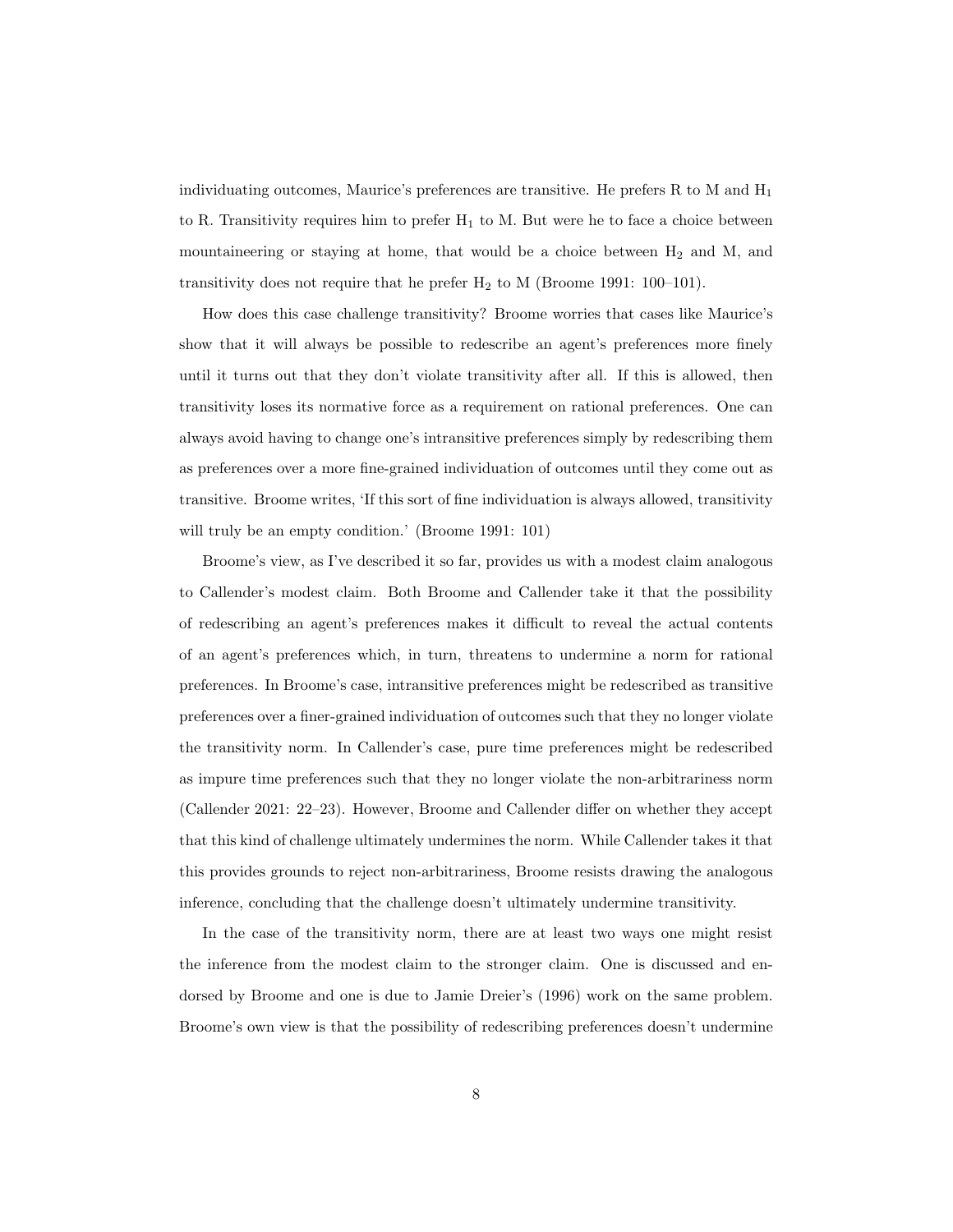individuating outcomes, Maurice's preferences are transitive. He prefers R to M and  $H_1$ to R. Transitivity requires him to prefer  $H_1$  to M. But were he to face a choice between mountaineering or staying at home, that would be a choice between  $H_2$  and M, and transitivity does not require that he prefer  $H_2$  to M (Broome 1991: 100–101).

How does this case challenge transitivity? Broome worries that cases like Maurice's show that it will always be possible to redescribe an agent's preferences more finely until it turns out that they don't violate transitivity after all. If this is allowed, then transitivity loses its normative force as a requirement on rational preferences. One can always avoid having to change one's intransitive preferences simply by redescribing them as preferences over a more fine-grained individuation of outcomes until they come out as transitive. Broome writes, 'If this sort of fine individuation is always allowed, transitivity will truly be an empty condition.' (Broome 1991: 101)

Broome's view, as I've described it so far, provides us with a modest claim analogous to Callender's modest claim. Both Broome and Callender take it that the possibility of redescribing an agent's preferences makes it difficult to reveal the actual contents of an agent's preferences which, in turn, threatens to undermine a norm for rational preferences. In Broome's case, intransitive preferences might be redescribed as transitive preferences over a finer-grained individuation of outcomes such that they no longer violate the transitivity norm. In Callender's case, pure time preferences might be redescribed as impure time preferences such that they no longer violate the non-arbitrariness norm (Callender 2021: 22–23). However, Broome and Callender differ on whether they accept that this kind of challenge ultimately undermines the norm. While Callender takes it that this provides grounds to reject non-arbitrariness, Broome resists drawing the analogous inference, concluding that the challenge doesn't ultimately undermine transitivity.

In the case of the transitivity norm, there are at least two ways one might resist the inference from the modest claim to the stronger claim. One is discussed and endorsed by Broome and one is due to Jamie Dreier's (1996) work on the same problem. Broome's own view is that the possibility of redescribing preferences doesn't undermine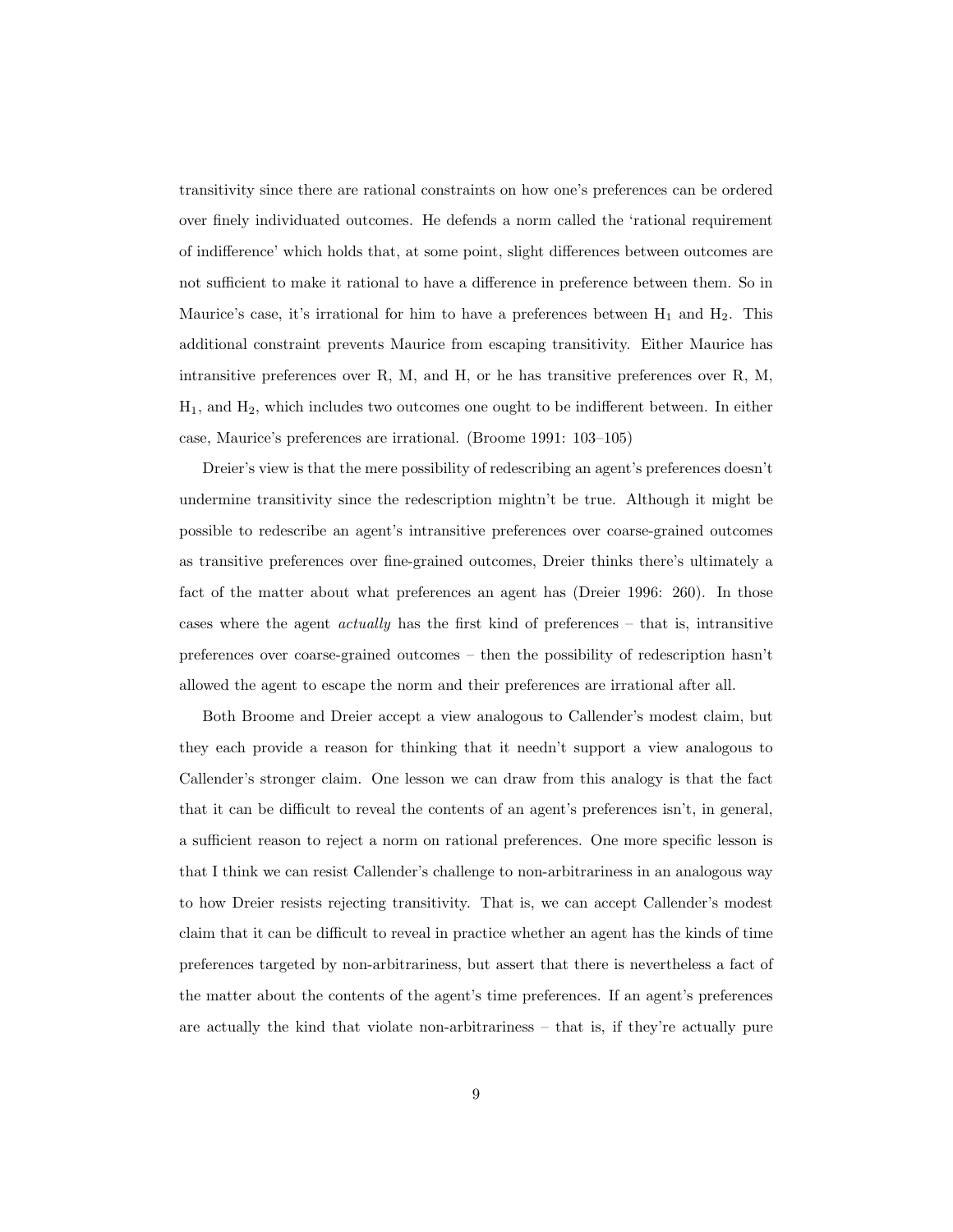transitivity since there are rational constraints on how one's preferences can be ordered over finely individuated outcomes. He defends a norm called the 'rational requirement of indifference' which holds that, at some point, slight differences between outcomes are not sufficient to make it rational to have a difference in preference between them. So in Maurice's case, it's irrational for him to have a preferences between  $H_1$  and  $H_2$ . This additional constraint prevents Maurice from escaping transitivity. Either Maurice has intransitive preferences over R, M, and H, or he has transitive preferences over R, M,  $H_1$ , and  $H_2$ , which includes two outcomes one ought to be indifferent between. In either case, Maurice's preferences are irrational. (Broome 1991: 103–105)

Dreier's view is that the mere possibility of redescribing an agent's preferences doesn't undermine transitivity since the redescription mightn't be true. Although it might be possible to redescribe an agent's intransitive preferences over coarse-grained outcomes as transitive preferences over fine-grained outcomes, Dreier thinks there's ultimately a fact of the matter about what preferences an agent has (Dreier 1996: 260). In those cases where the agent *actually* has the first kind of preferences – that is, intransitive preferences over coarse-grained outcomes – then the possibility of redescription hasn't allowed the agent to escape the norm and their preferences are irrational after all.

Both Broome and Dreier accept a view analogous to Callender's modest claim, but they each provide a reason for thinking that it needn't support a view analogous to Callender's stronger claim. One lesson we can draw from this analogy is that the fact that it can be difficult to reveal the contents of an agent's preferences isn't, in general, a sufficient reason to reject a norm on rational preferences. One more specific lesson is that I think we can resist Callender's challenge to non-arbitrariness in an analogous way to how Dreier resists rejecting transitivity. That is, we can accept Callender's modest claim that it can be difficult to reveal in practice whether an agent has the kinds of time preferences targeted by non-arbitrariness, but assert that there is nevertheless a fact of the matter about the contents of the agent's time preferences. If an agent's preferences are actually the kind that violate non-arbitrariness – that is, if they're actually pure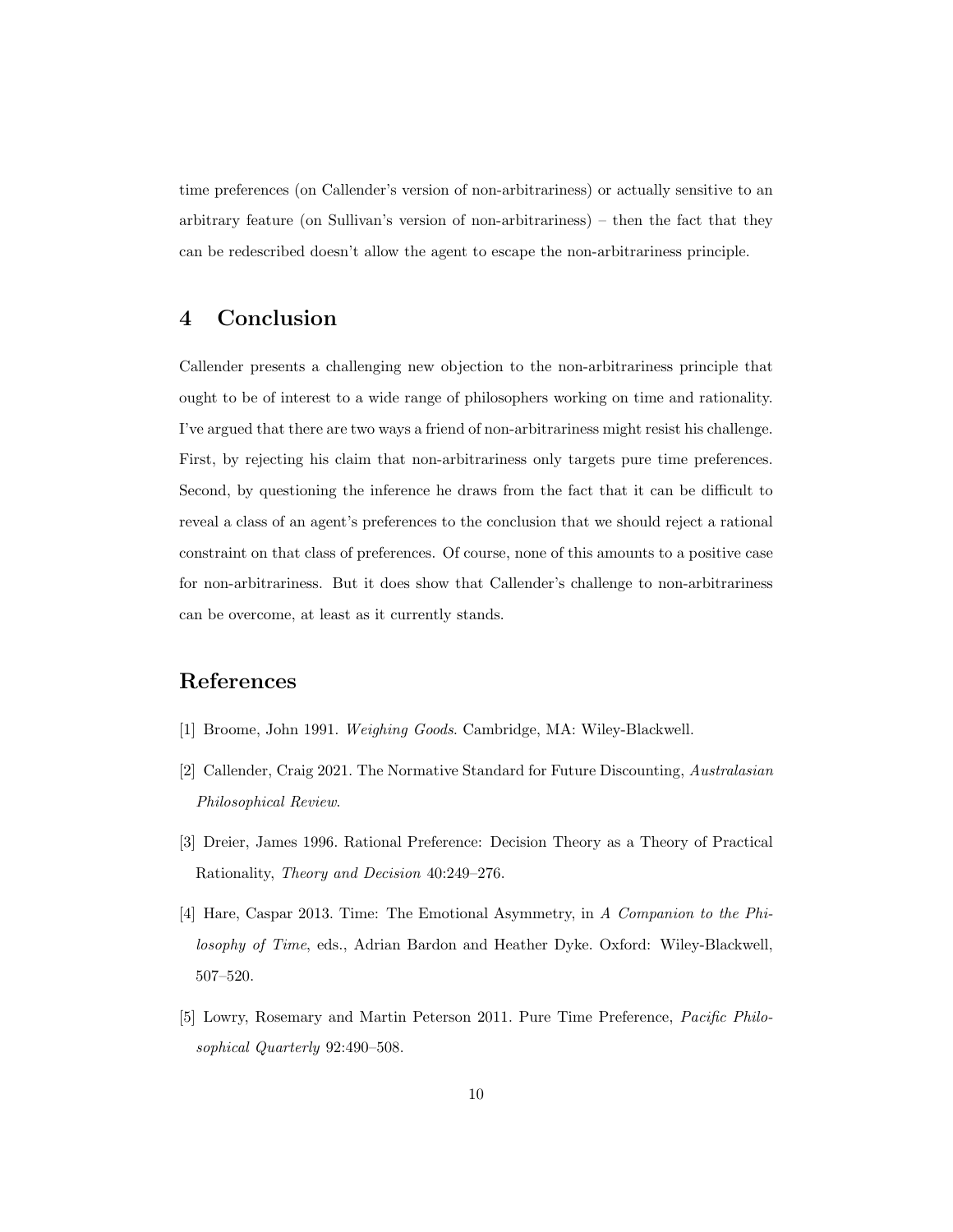time preferences (on Callender's version of non-arbitrariness) or actually sensitive to an arbitrary feature (on Sullivan's version of non-arbitrariness) – then the fact that they can be redescribed doesn't allow the agent to escape the non-arbitrariness principle.

# 4 Conclusion

Callender presents a challenging new objection to the non-arbitrariness principle that ought to be of interest to a wide range of philosophers working on time and rationality. I've argued that there are two ways a friend of non-arbitrariness might resist his challenge. First, by rejecting his claim that non-arbitrariness only targets pure time preferences. Second, by questioning the inference he draws from the fact that it can be difficult to reveal a class of an agent's preferences to the conclusion that we should reject a rational constraint on that class of preferences. Of course, none of this amounts to a positive case for non-arbitrariness. But it does show that Callender's challenge to non-arbitrariness can be overcome, at least as it currently stands.

# References

- [1] Broome, John 1991. Weighing Goods. Cambridge, MA: Wiley-Blackwell.
- [2] Callender, Craig 2021. The Normative Standard for Future Discounting, Australasian Philosophical Review.
- [3] Dreier, James 1996. Rational Preference: Decision Theory as a Theory of Practical Rationality, Theory and Decision 40:249–276.
- [4] Hare, Caspar 2013. Time: The Emotional Asymmetry, in A Companion to the Philosophy of Time, eds., Adrian Bardon and Heather Dyke. Oxford: Wiley-Blackwell, 507–520.
- [5] Lowry, Rosemary and Martin Peterson 2011. Pure Time Preference, Pacific Philosophical Quarterly 92:490–508.